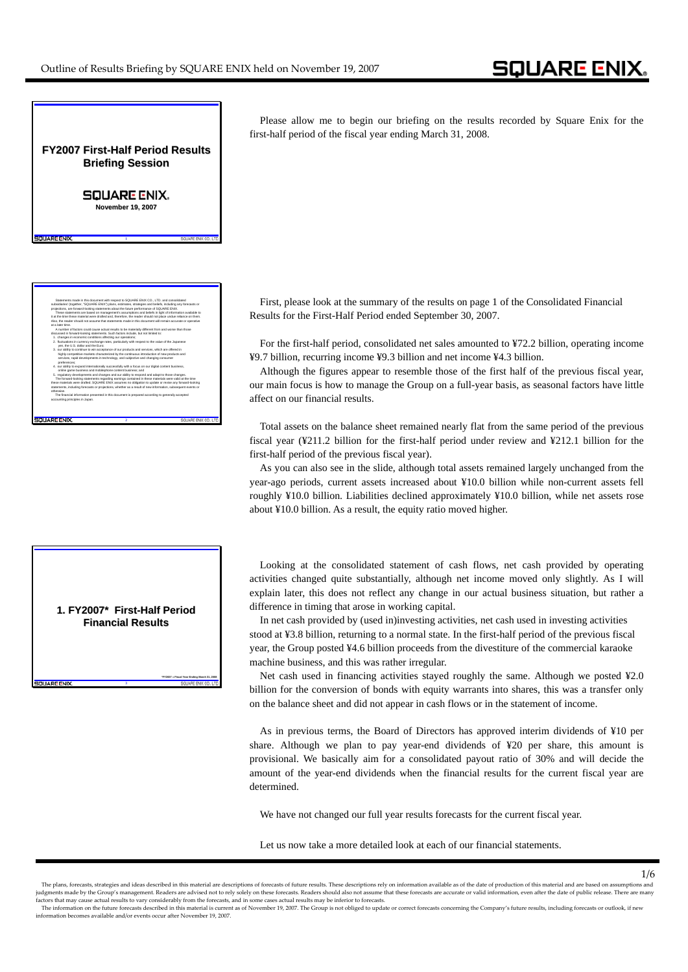Please allow me to begin our briefing on the results recorded by Square Enix for the first-half period of the fiscal year ending March 31, 2008.

First, please look at the summary of the results on page 1 of the Consolidated Financial Results for the First-Half Period ended September 30, 2007.

For the first-half period, consolidated net sales amounted to ¥72.2 billion, operating income ¥9.7 billion, recurring income ¥9.3 billion and net income ¥4.3 billion.

Although the figures appear to resemble those of the first half of the previous fiscal year, our main focus is how to manage the Group on a full-year basis, as seasonal factors have little affect on our financial results.

Total assets on the balance sheet remained nearly flat from the same period of the previous fiscal year (¥211.2 billion for the first-half period under review and ¥212.1 billion for the first-half period of the previous fiscal year).

As you can also see in the slide, although total assets remained largely unchanged from the year-ago periods, current assets increased about ¥10.0 billion while non-current assets fell roughly ¥10.0 billion. Liabilities declined approximately ¥10.0 billion, while net assets rose about ¥10.0 billion. As a result, the equity ratio moved higher.

Looking at the consolidated statement of cash flows, net cash provided by operating activities changed quite substantially, although net income moved only slightly. As I will explain later, this does not reflect any change in our actual business situation, but rather a difference in timing that arose in working capital.

In net cash provided by (used in)investing activities, net cash used in investing activities stood at ¥3.8 billion, returning to a normal state. In the first-half period of the previous fiscal year, the Group posted ¥4.6 billion proceeds from the divestiture of the commercial karaoke machine business, and this was rather irregular.

Net cash used in financing activities stayed roughly the same. Although we posted ¥2.0 billion for the conversion of bonds with equity warrants into shares, this was a transfer only on the balance sheet and did not appear in cash flows or in the statement of income.

As in previous terms, the Board of Directors has approved interim dividends of ¥10 per share. Although we plan to pay year-end dividends of ¥20 per share, this amount is provisional. We basically aim for a consolidated payout ratio of 30% and will decide the amount of the year-end dividends when the financial results for the current fiscal year are determined.

1/6

We have not changed our full year results forecasts for the current fiscal year.

Let us now take a more detailed look at each of our financial statements.

**FY2007 First FY2007 First-Half Period Results Half Period Results Briefing Session Briefing Session**

## **SQUARE ENIX.**

**November 19, 2007**

**1**

Statements made in this document with respect to SQUARE ENIX CO., LTD. and consolidated subsidiaries' (together, "SQUARE ENIX") plans, estimates, strategies and beliefs, including any forecasts or projections, are forward-looking statements about the future performance of SQUARE ENIX. These statements are based on management's assumptions and beliefs in light of information available to it at the time these material were drafted and, therefore, the reader should not place undue reliance on them. Also, the reader should not assume that statements made in this document will remain accurate or operative

A number of factors could cause actual results to be materially different from and worse than those discussed in forward-looking statements. Such factors include, but not limited to: 1. changes in economic conditions affecting our operations;

2. fluctuations in currency exchange rates, particularly with respect to the value of the Japanese

3. our ability to continue to win acceptance of our products and services, which are offered in highly competitive markets characterized by the continuous introduction of new products and services, rapid developments in technology, and subjective and changing consumer

4. our ability to expand internationally successfully with a focus on our digital content business, online game business and mobilephone content business; and 5. regulatory developments and changes and our ability to respond and adapt to those changes. The forward-looking statements regarding earnings contained in these materials were valid at the time these materials were drafted. SQUARE ENIX assumes no obligation to update or revise any forward-looking statements, including forecasts or projections, whether as a result of new information, subsequent events or

The financial information presented in this document is prepared according to generally accepted

at a later time.

SOUADE ENIX

preferences;

accounting principles in Japan.

otherwise.

**SQUARE ENIX** 

yen, the U.S. dollar and the Euro;

**1. FY2007\* First FY2007\* First-Half Period Half Period Financial Results Financial Results**

**3**

**\*FY2007 = Fiscal Year Ending March 31, 2008**

The plans, forecasts, strategies and ideas described in this material are descriptions of forecasts of future results. These descriptions rely on information available as of the date of production of this material and are judgments made by the Group's management. Readers are advised not to rely solely on these forecasts. Readers should also not assume that these forecasts are accurate or valid information, even after the date of public rele factors that may cause actual results to vary considerably from the forecasts, and in some cases actual results may be inferior to forecasts.<br>The information on the future forecasts described in this material is current as

information becomes available and/or events occur after November 19, 2007.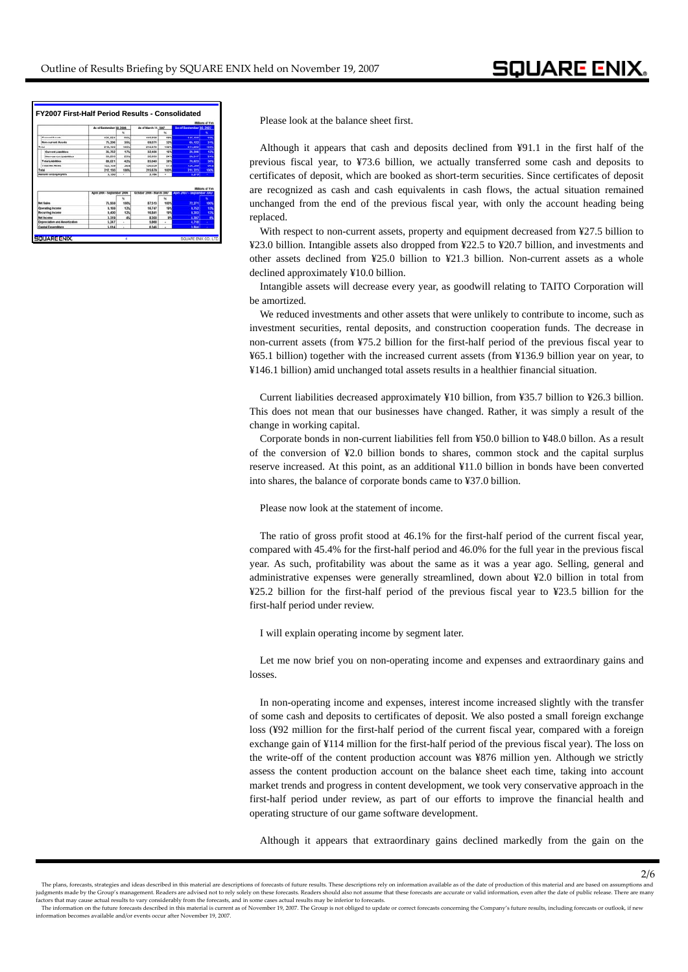|                                                                                               |                             | <b>Militans of Ten</b> |                           |             |                               |                        |
|-----------------------------------------------------------------------------------------------|-----------------------------|------------------------|---------------------------|-------------|-------------------------------|------------------------|
|                                                                                               | As of September 30, 3006    | w                      | As of March 31, 2007      | u           | As of Sectember 30, 2007      | u                      |
| <b>Processed America</b>                                                                      | 136, 574                    | 85%                    | 146,608                   | 68%         | 146,100                       |                        |
| <b>Son-current Assets</b>                                                                     | 75, 206                     | 35%                    | 69.071                    | 32%         | 65.122                        | 395                    |
| <b>Tutal</b>                                                                                  | 212,130                     | <b>STATIS</b>          | 215,679                   | <b>MARK</b> | 211,223                       | soon                   |
| <b>Current Liabilities</b>                                                                    | 35,762                      | 17%                    | 32,404                    | 15%         | 36,300                        | 125                    |
| Non-current Liabilities                                                                       | 53,259                      | 25%                    | 52,635                    | 24%         | 50.317                        | 249                    |
| Total Lishilities                                                                             | 89.021                      | 42%                    | 85,040                    | 39%         | 76.623                        | w                      |
| Total Net Asset                                                                               | 123,109                     | 58%                    | 130,639                   | 61%         | 154,589                       | 64%                    |
| Total                                                                                         | 212 130                     | 100%                   | 215,679                   | story       | 711.221                       | ian                    |
| <b>Humber of Employees</b>                                                                    | 3,130                       | ٠                      | 3,164                     | ٠           | 3.275                         |                        |
|                                                                                               |                             |                        |                           |             |                               |                        |
|                                                                                               |                             |                        |                           |             |                               | <b>Millions of Yen</b> |
|                                                                                               | April 2006 - September 2006 |                        | October 2006 - March 2007 |             | April 2007 - Sectionizer 2007 |                        |
|                                                                                               |                             | w                      |                           | <b>bo</b>   |                               |                        |
|                                                                                               | 75, 565                     | <b>100NL</b>           | 87,513                    | <b>NOON</b> | 72.271                        | 1001                   |
|                                                                                               | 9.159                       | 12%                    | 16,747                    | <b>SIA</b>  | 9.753                         | 139                    |
|                                                                                               | 9,400                       | 12%                    | 15, 541                   | 19%         | 9,303                         | <b>CYN</b>             |
| <b>Het Sales</b><br><b>Operating Income</b><br><b>Recurring Income</b><br><b>Bad Incident</b> | 3,319                       | 4%                     | 8.300                     | <b>MA</b>   | 4.982                         | ×                      |
| Depreciation and Americation<br>Capital Expenditure                                           | 5.247<br>5.014              | ×<br>×                 | 5,888<br>6.346            | i.<br>٠     | 4.748<br>3,844                |                        |

Please look at the balance sheet first.

Although it appears that cash and deposits declined from ¥91.1 in the first half of the previous fiscal year, to ¥73.6 billion, we actually transferred some cash and deposits to certificates of deposit, which are booked as short-term securities. Since certificates of deposit are recognized as cash and cash equivalents in cash flows, the actual situation remained unchanged from the end of the previous fiscal year, with only the account heading being replaced.

With respect to non-current assets, property and equipment decreased from ¥27.5 billion to ¥23.0 billion. Intangible assets also dropped from ¥22.5 to ¥20.7 billion, and investments and other assets declined from ¥25.0 billion to ¥21.3 billion. Non-current assets as a whole declined approximately ¥10.0 billion.

Intangible assets will decrease every year, as goodwill relating to TAITO Corporation will be amortized.

We reduced investments and other assets that were unlikely to contribute to income, such as investment securities, rental deposits, and construction cooperation funds. The decrease in non-current assets (from ¥75.2 billion for the first-half period of the previous fiscal year to ¥65.1 billion) together with the increased current assets (from ¥136.9 billion year on year, to ¥146.1 billion) amid unchanged total assets results in a healthier financial situation.

Current liabilities decreased approximately ¥10 billion, from ¥35.7 billion to ¥26.3 billion. This does not mean that our businesses have changed. Rather, it was simply a result of the change in working capital.

Corporate bonds in non-current liabilities fell from ¥50.0 billion to ¥48.0 billon. As a result of the conversion of ¥2.0 billion bonds to shares, common stock and the capital surplus reserve increased. At this point, as an additional ¥11.0 billion in bonds have been converted into shares, the balance of corporate bonds came to ¥37.0 billion.

Please now look at the statement of income.

 The ratio of gross profit stood at 46.1% for the first-half period of the current fiscal year, compared with 45.4% for the first-half period and 46.0% for the full year in the previous fiscal year. As such, profitability was about the same as it was a year ago. Selling, general and administrative expenses were generally streamlined, down about ¥2.0 billion in total from ¥25.2 billion for the first-half period of the previous fiscal year to ¥23.5 billion for the first-half period under review.

I will explain operating income by segment later.

Let me now brief you on non-operating income and expenses and extraordinary gains and losses.

In non-operating income and expenses, interest income increased slightly with the transfer of some cash and deposits to certificates of deposit. We also posted a small foreign exchange loss (¥92 million for the first-half period of the current fiscal year, compared with a foreign exchange gain of ¥114 million for the first-half period of the previous fiscal year). The loss on the write-off of the content production account was ¥876 million yen. Although we strictly assess the content production account on the balance sheet each time, taking into account market trends and progress in content development, we took very conservative approach in the first-half period under review, as part of our efforts to improve the financial health and operating structure of our game software development.

Although it appears that extraordinary gains declined markedly from the gain on the

2/6

The plans, forecasts, strategies and ideas described in this material are descriptions of forecasts of future results. These descriptions rely on information available as of the date of production of this material and are judgments made by the Group's management. Readers are advised not to rely solely on these forecasts. Readers should also not assume that these forecasts are accurate or valid information, even after the date of public rele se actual results to vary considerably from the forecasts, and in some cases actual results may be inferior to forecasts.

The information on the future forecasts described in this material is current as of November 19, 2007. The Group is not obliged to update or correct forecasts concerning the Company's future results, including forecasts or information becomes available and/or events occur after November 19, 2007.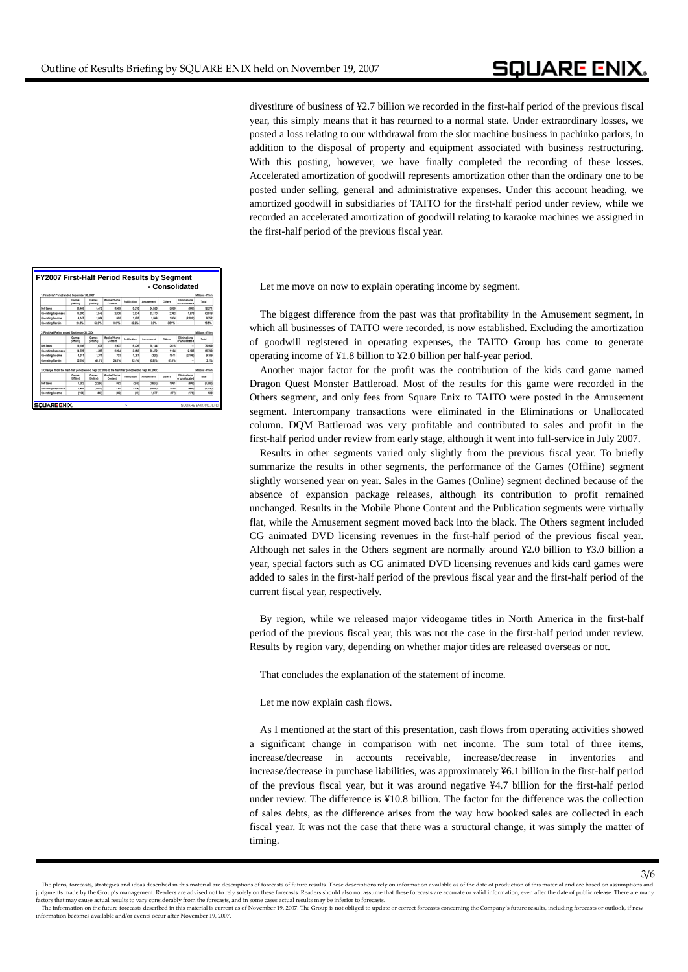divestiture of business of ¥2.7 billion we recorded in the first-half period of the previous fiscal year, this simply means that it has returned to a normal state. Under extraordinary losses, we posted a loss relating to our withdrawal from the slot machine business in pachinko parlors, in addition to the disposal of property and equipment associated with business restructuring. With this posting, however, we have finally completed the recording of these losses. Accelerated amortization of goodwill represents amortization other than the ordinary one to be posted under selling, general and administrative expenses. Under this account heading, we amortized goodwill in subsidiaries of TAITO for the first-half period under review, while we recorded an accelerated amortization of goodwill relating to karaoke machines we assigned in the first-half period of the previous fiscal year.

Let me move on now to explain operating income by segment.

The biggest difference from the past was that profitability in the Amusement segment, in which all businesses of TAITO were recorded, is now established. Excluding the amortization of goodwill registered in operating expenses, the TAITO Group has come to generate operating income of ¥1.8 billion to ¥2.0 billion per half-year period.

Another major factor for the profit was the contribution of the kids card game named Dragon Quest Monster Battleroad. Most of the results for this game were recorded in the Others segment, and only fees from Square Enix to TAITO were posted in the Amusement segment. Intercompany transactions were eliminated in the Eliminations or Unallocated column. DQM Battleroad was very profitable and contributed to sales and profit in the first-half period under review from early stage, although it went into full-service in July 2007.

Results in other segments varied only slightly from the previous fiscal year. To briefly summarize the results in other segments, the performance of the Games (Offline) segment slightly worsened year on year. Sales in the Games (Online) segment declined because of the absence of expansion package releases, although its contribution to profit remained unchanged. Results in the Mobile Phone Content and the Publication segments were virtually flat, while the Amusement segment moved back into the black. The Others segment included CG animated DVD licensing revenues in the first-half period of the previous fiscal year. Although net sales in the Others segment are normally around ¥2.0 billion to ¥3.0 billion a year, special factors such as CG animated DVD licensing revenues and kids card games were added to sales in the first-half period of the previous fiscal year and the first-half period of the current fiscal year, respectively.

By region, while we released major videogame titles in North America in the first-half period of the previous fiscal year, this was not the case in the first-half period under review. Results by region vary, depending on whether major titles are released overseas or not.

That concludes the explanation of the statement of income.

Let me now explain cash flows.

As I mentioned at the start of this presentation, cash flows from operating activities showed a significant change in comparison with net income. The sum total of three items, increase/decrease in accounts receivable, increase/decrease in inventories and increase/decrease in purchase liabilities, was approximately ¥6.1 billion in the first-half period of the previous fiscal year, but it was around negative ¥4.7 billion for the first-half period under review. The difference is ¥10.8 billion. The factor for the difference was the collection of sales debts, as the difference arises from the way how booked sales are collected in each fiscal year. It was not the case that there was a structural change, it was simply the matter of timing.

|                                                                                                         |                          |                         |                                |             |                  |                | - Consolidated                    |                  |
|---------------------------------------------------------------------------------------------------------|--------------------------|-------------------------|--------------------------------|-------------|------------------|----------------|-----------------------------------|------------------|
| 1. First Half Period ended September 30, 2007                                                           |                          |                         |                                |             |                  |                |                                   | Millions of Yen  |
|                                                                                                         | Games<br><b>Ciffinal</b> | Games<br><b>Critral</b> | <b>Mobile Phone</b><br>Contact | Publication | Amusement        | Others         | Elminations<br>or unaliseated     | Tetal            |
| Net Sales                                                                                               | 20,448                   | 5,413                   | 3.589                          | 6.210       | 34,630           | 3.656          | <b>BOB</b>                        | 72.271           |
| <b>Operating Expenses</b>                                                                               | 16,300                   | 2.549                   | 3.906                          | 3.634       | 33.170           | 3,363          | 1,473                             | 83.518           |
| <b>Operating Income</b>                                                                                 | 4147                     | 3.864                   | 663                            | 1,676       | 1,349            | 1.334          | Q.202                             | 9.752            |
| <b>Coersting Margin</b>                                                                                 | 20.3%                    | 62.9%                   | 10.5%                          | 32.2%       | 2.9%             | $36.7\% -$     |                                   | 13.6%            |
|                                                                                                         | <b>Critical</b>          | <b>Kimimat</b>          | Contact                        |             |                  |                | or unalization                    |                  |
|                                                                                                         | Games                    | Games                   | Mobile Phone                   | Publication | Amusement        | Others         | Elminators                        | Total            |
|                                                                                                         | 15,196                   | 7,678                   |                                | 5,426       |                  |                |                                   |                  |
| Net Sales                                                                                               | 14,676                   | 4,367                   | 2.907<br>3.354                 | 3,668       | 38,144<br>39,472 | 2.615<br>1.104 | $\overline{\phantom{a}}$<br>2.106 | 75,968<br>66,790 |
| <b>Operating Expenses</b>                                                                               |                          |                         |                                |             |                  |                |                                   |                  |
| <b>Operating Income</b>                                                                                 | 4,311                    | 3,311                   | <b>YOU</b>                     | 1,787       | <b>com</b>       | 1,611          | 0.100                             | 9.169            |
| <b>Operating Margin</b>                                                                                 | 22.9%                    | 43.1%                   | 34.2%                          | 32.6%       | 6.9%             | 57.9%          | $\overline{a}$                    | 12.1%            |
| 3. Change (from the first-half period ended Sep. 30, 2006 to the first-half period ended Sep. 30, 2007) |                          |                         |                                |             |                  |                |                                   | Millions of Yan  |
|                                                                                                         | Games<br><b>Cifficed</b> | Games<br>(Online)       | Mobile Phone<br>Content        | Publication | Amusement        | Others         | Eliminations<br>or unaliscated    | Total            |
|                                                                                                         | 1.262                    | (2,365)                 | 682                            | 018         | (3.824)          | 1,081          | 608                               | (3,600)          |
| Net Sales                                                                                               |                          | (5.818)                 | 722                            | (124)       | 8.302            | 1,268          | <b>HARR</b>                       | (4.272)          |
| <b>Operating Expenses</b>                                                                               | 1,426                    |                         |                                |             |                  |                |                                   |                  |

 <sup>3/6</sup>

The plans, forecasts, strategies and ideas described in this material are descriptions of forecasts of future results. These descriptions rely on information available as of the date of production of this material and are judgments made by the Group's management. Readers are advised not to rely solely on these forecasts. Readers should also not assume that these forecasts are accurate or valid information, even after the date of public rele

factors that may cause actual results to vary considerably from the forecasts, and in some cases actual results may be inferior to forecasts.<br>The information on the future forecasts described in this material is current as information becomes available and/or events occur after November 19, 2007.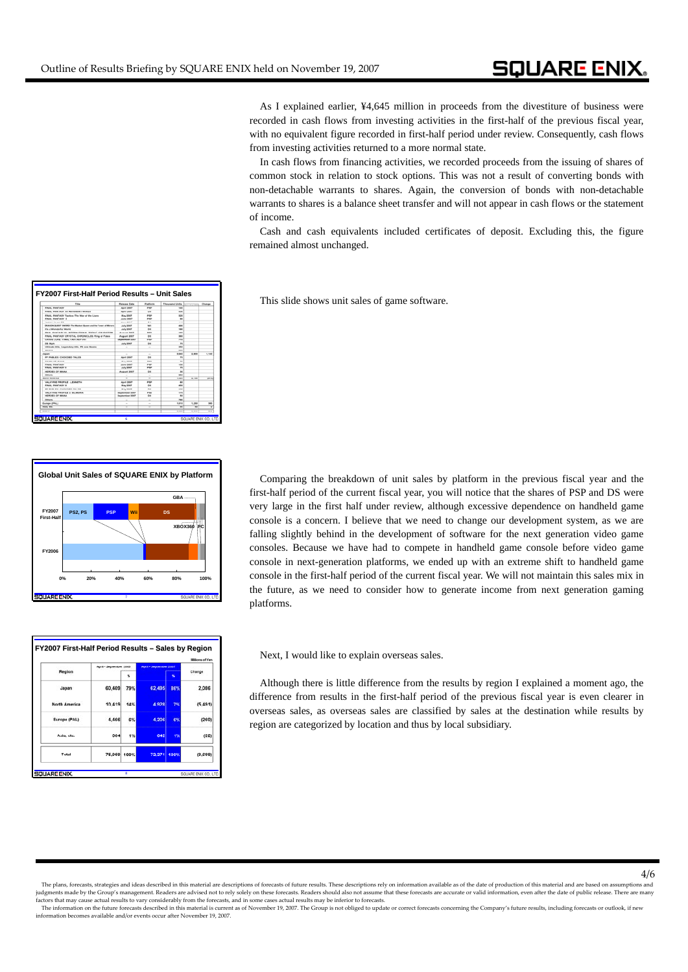As I explained earlier, ¥4,645 million in proceeds from the divestiture of business were recorded in cash flows from investing activities in the first-half of the previous fiscal year, with no equivalent figure recorded in first-half period under review. Consequently, cash flows from investing activities returned to a more normal state.

In cash flows from financing activities, we recorded proceeds from the issuing of shares of common stock in relation to stock options. This was not a result of converting bonds with non-detachable warrants to shares. Again, the conversion of bonds with non-detachable warrants to shares is a balance sheet transfer and will not appear in cash flows or the statement of income.

Cash and cash equivalents included certificates of deposit. Excluding this, the figure remained almost unchanged.

This slide shows unit sales of game software.

|                             |                |            |     | Global Unit Sales of SQUARE ENIX by Platform |      |
|-----------------------------|----------------|------------|-----|----------------------------------------------|------|
|                             |                |            |     | GBA                                          |      |
| FY2007<br><b>First-Half</b> | <b>PS2, PS</b> | <b>PSP</b> | Wii | <b>DS</b>                                    |      |
|                             |                |            |     | XBOX360                                      | Inc  |
|                             |                |            |     |                                              |      |
| FY2006                      |                |            |     |                                              |      |
|                             |                |            |     |                                              |      |
| 0%                          | 20%            | 40%        | 60% | 80%                                          | 100% |

**6**

**SQUARE ENIX** 

May 2007<br>June 2007<br>July 2007

April 200<br>May 200

**FY2007 First First-Half Period Results Half – Unit Sales Unit Sales**

Raisana De<br>Agril 200<br>Agril 200<br>May 2007<br>Juna 200

 $\frac{1}{2}$ 

1122211

|                      |                        |     |                        |             | <b>Millions of Yen</b> |  |
|----------------------|------------------------|-----|------------------------|-------------|------------------------|--|
| Region               | April - September 2005 |     | April - September 2007 |             | Change                 |  |
|                      |                        | ĸ   |                        | x           |                        |  |
| Japan                | 60,409                 | 79% | 62,495                 | 86%         | 2,086                  |  |
| <b>North America</b> | 10.419                 | 14% | 4.928                  | 7%          | (5.491)                |  |
| Europe (PAL)         | 4,466                  | 6%  | 4.206                  | 6%          | (260)                  |  |
| Asia, etc.           | 664                    | 1%  | 642                    | 1%          | (22)                   |  |
| Total                | 75.959 100%            |     | 72.271                 | <b>100%</b> | (3,699)                |  |

Comparing the breakdown of unit sales by platform in the previous fiscal year and the first-half period of the current fiscal year, you will notice that the shares of PSP and DS were very large in the first half under review, although excessive dependence on handheld game console is a concern. I believe that we need to change our development system, as we are falling slightly behind in the development of software for the next generation video game consoles. Because we have had to compete in handheld game console before video game console in next-generation platforms, we ended up with an extreme shift to handheld game console in the first-half period of the current fiscal year. We will not maintain this sales mix in the future, as we need to consider how to generate income from next generation gaming platforms.

Next, I would like to explain overseas sales.

Although there is little difference from the results by region I explained a moment ago, the difference from results in the first-half period of the previous fiscal year is even clearer in overseas sales, as overseas sales are classified by sales at the destination while results by region are categorized by location and thus by local subsidiary.

 <sup>4/6</sup> The plans, forecasts, strategies and ideas described in this material are descriptions of forecasts of future results. These descriptions rely on information available as of the date of production of this material and are judgments made by the Group's management. Readers are advised not to rely solely on these forecasts. Readers should also not assume that these forecasts are accurate or valid information, even after the date of public rele se actual results to vary considerably from the forecasts, and in some cases actual results may be inferior to forecasts.

The information on the future forecasts described in this material is current as of November 19, 2007. The Group is not obliged to update or correct forecasts concerning the Company's future results, including forecasts or information becomes available and/or events occur after November 19, 2007.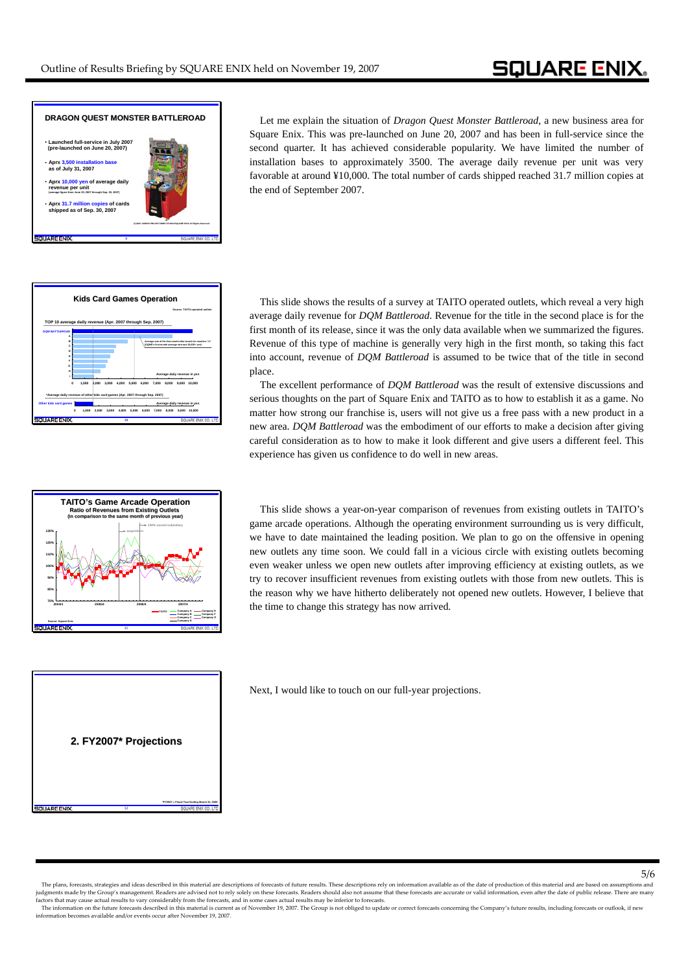

Let me explain the situation of *Dragon Quest Monster Battleroad*, a new business area for Square Enix. This was pre-launched on June 20, 2007 and has been in full-service since the second quarter. It has achieved considerable popularity. We have limited the number of installation bases to approximately 3500. The average daily revenue per unit was very favorable at around ¥10,000. The total number of cards shipped reached 31.7 million copies at the end of September 2007.





**12 2. FY2007\* Projections FY2007\* Projections \*FY2007 = Fiscal Year Ending March 31, 2008**

This slide shows the results of a survey at TAITO operated outlets, which reveal a very high average daily revenue for *DQM Battleroad*. Revenue for the title in the second place is for the first month of its release, since it was the only data available when we summarized the figures. Revenue of this type of machine is generally very high in the first month, so taking this fact into account, revenue of *DQM Battleroad* is assumed to be twice that of the title in second place.

The excellent performance of *DQM Battleroad* was the result of extensive discussions and serious thoughts on the part of Square Enix and TAITO as to how to establish it as a game. No matter how strong our franchise is, users will not give us a free pass with a new product in a new area. *DQM Battleroad* was the embodiment of our efforts to make a decision after giving careful consideration as to how to make it look different and give users a different feel. This experience has given us confidence to do well in new areas.

This slide shows a year-on-year comparison of revenues from existing outlets in TAITO's game arcade operations. Although the operating environment surrounding us is very difficult, we have to date maintained the leading position. We plan to go on the offensive in opening new outlets any time soon. We could fall in a vicious circle with existing outlets becoming even weaker unless we open new outlets after improving efficiency at existing outlets, as we try to recover insufficient revenues from existing outlets with those from new outlets. This is the reason why we have hitherto deliberately not opened new outlets. However, I believe that the time to change this strategy has now arrived.

Next, I would like to touch on our full-year projections.

## 5/6

The plans, forecasts, strategies and ideas described in this material are descriptions of forecasts of future results. These descriptions rely on information available as of the date of production of this material and are judgments made by the Group's management. Readers are advised not to rely solely on these forecasts. Readers should also not assume that these forecasts are accurate or valid information, even after the date of public rele se actual results to vary considerably from the forecasts, and in some cases actual results may be inferior to forecasts.

cover and may causa results to vary constretativy non ure not constant some that we cases actual results be to meet to concert forecasts concerning the Company's future results, including forecasts or outlook, if new resul information becomes available and/or events occur after November 19, 2007.